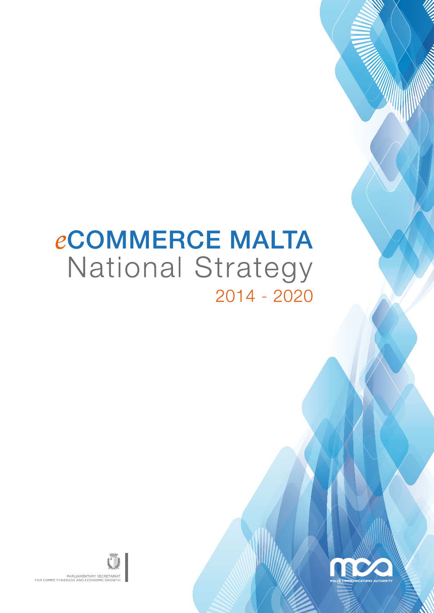# *eCOMMERCE MALTA* National Strategy 2014 - 2020





PARLIAMENTARY SECRETARIAT<br>FOR COMPETITIVENESS AND ECONOMIC GROWTH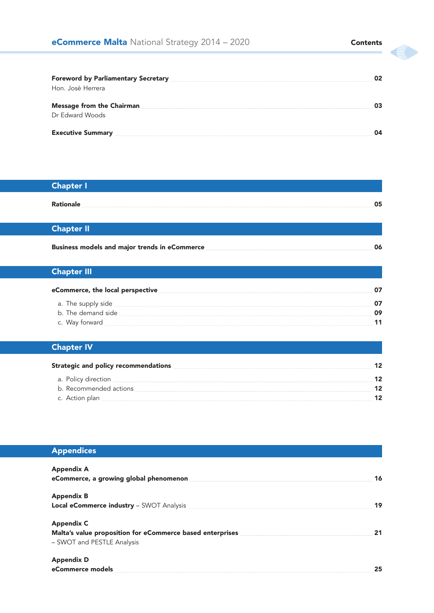**Q** 

| <b>Foreword by Parliamentary Secretary</b><br>Hon. Josè Herrera |  |
|-----------------------------------------------------------------|--|
| <b>Message from the Chairman</b><br>Dr Edward Woods             |  |
| <b>Executive Summary</b>                                        |  |

### Chapter I

| D. |  |
|----|--|
|    |  |

### Chapter II

Business models and major trends in eCommerce **Commerce 2006** 

### Chapter III

| eCommerce, the local perspective |  |
|----------------------------------|--|
| a. The supply side               |  |
| b. The demand side               |  |
| c. Way forward                   |  |

### Chapter IV

| <b>Strategic and policy recommendations</b> |  |
|---------------------------------------------|--|
| a. Policy direction                         |  |
| b. Recommended actions                      |  |
| c. Action plan                              |  |

| <b>Appendices</b>                                                                                                           |    |
|-----------------------------------------------------------------------------------------------------------------------------|----|
| <b>Appendix A</b>                                                                                                           | 16 |
| <b>Appendix B</b>                                                                                                           | 19 |
| <b>Appendix C</b><br>Malta's value proposition for eCommerce based enterprises <b>members</b><br>- SWOT and PESTLE Analysis |    |
| <b>Appendix D</b><br>eCommerce models                                                                                       | 25 |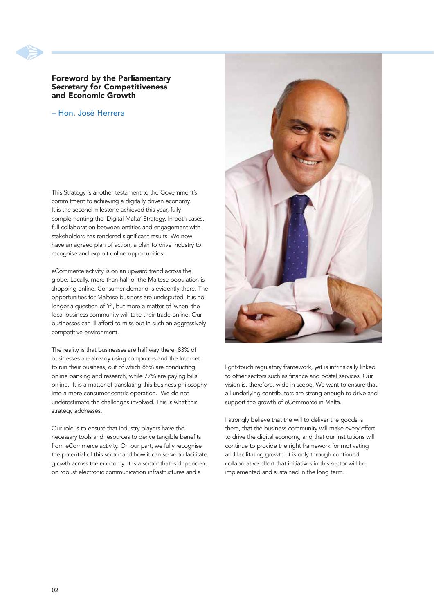

#### Foreword by the Parliamentary Secretary for Competitiveness and Economic Growth

– Hon. Josè Herrera

This Strategy is another testament to the Government's commitment to achieving a digitally driven economy. It is the second milestone achieved this year, fully complementing the 'Digital Malta' Strategy. In both cases, full collaboration between entities and engagement with stakeholders has rendered significant results. We now have an agreed plan of action, a plan to drive industry to recognise and exploit online opportunities.

eCommerce activity is on an upward trend across the globe. Locally, more than half of the Maltese population is shopping online. Consumer demand is evidently there. The opportunities for Maltese business are undisputed. It is no longer a question of 'if', but more a matter of 'when' the local business community will take their trade online. Our businesses can ill afford to miss out in such an aggressively competitive environment.

The reality is that businesses are half way there. 83% of businesses are already using computers and the Internet to run their business, out of which 85% are conducting online banking and research, while 77% are paying bills online. It is a matter of translating this business philosophy into a more consumer centric operation. We do not underestimate the challenges involved. This is what this strategy addresses.

Our role is to ensure that industry players have the necessary tools and resources to derive tangible benefits from eCommerce activity. On our part, we fully recognise the potential of this sector and how it can serve to facilitate growth across the economy. It is a sector that is dependent on robust electronic communication infrastructures and a



light-touch regulatory framework, yet is intrinsically linked to other sectors such as finance and postal services. Our vision is, therefore, wide in scope. We want to ensure that all underlying contributors are strong enough to drive and support the growth of eCommerce in Malta.

I strongly believe that the will to deliver the goods is there, that the business community will make every effort to drive the digital economy, and that our institutions will continue to provide the right framework for motivating and facilitating growth. It is only through continued collaborative effort that initiatives in this sector will be implemented and sustained in the long term.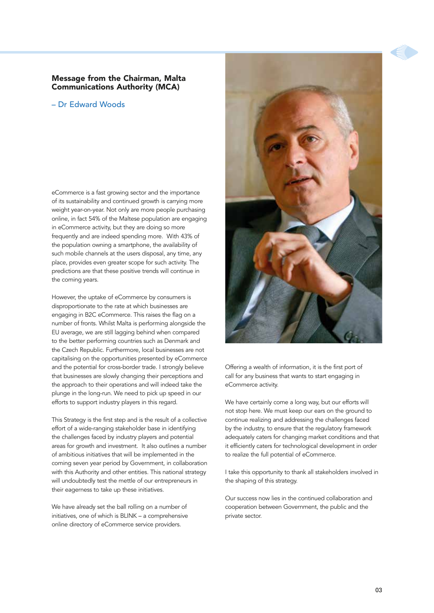#### Message from the Chairman, Malta Communications Authority (MCA)

### – Dr Edward Woods

eCommerce is a fast growing sector and the importance of its sustainability and continued growth is carrying more weight year-on-year. Not only are more people purchasing online, in fact 54% of the Maltese population are engaging in eCommerce activity, but they are doing so more frequently and are indeed spending more. With 43% of the population owning a smartphone, the availability of such mobile channels at the users disposal, any time, any place, provides even greater scope for such activity. The predictions are that these positive trends will continue in the coming years.

However, the uptake of eCommerce by consumers is disproportionate to the rate at which businesses are engaging in B2C eCommerce. This raises the flag on a number of fronts. Whilst Malta is performing alongside the EU average, we are still lagging behind when compared to the better performing countries such as Denmark and the Czech Republic. Furthermore, local businesses are not capitalising on the opportunities presented by eCommerce and the potential for cross-border trade. I strongly believe that businesses are slowly changing their perceptions and the approach to their operations and will indeed take the plunge in the long-run. We need to pick up speed in our efforts to support industry players in this regard.

This Strategy is the first step and is the result of a collective effort of a wide-ranging stakeholder base in identifying the challenges faced by industry players and potential areas for growth and investment. It also outlines a number of ambitious initiatives that will be implemented in the coming seven year period by Government, in collaboration with this Authority and other entities. This national strategy will undoubtedly test the mettle of our entrepreneurs in their eagerness to take up these initiatives.

We have already set the ball rolling on a number of initiatives, one of which is BLINK – a comprehensive online directory of eCommerce service providers.



Offering a wealth of information, it is the first port of call for any business that wants to start engaging in eCommerce activity.

We have certainly come a long way, but our efforts will not stop here. We must keep our ears on the ground to continue realizing and addressing the challenges faced by the industry, to ensure that the regulatory framework adequately caters for changing market conditions and that it efficiently caters for technological development in order to realize the full potential of eCommerce.

I take this opportunity to thank all stakeholders involved in the shaping of this strategy.

Our success now lies in the continued collaboration and cooperation between Government, the public and the private sector.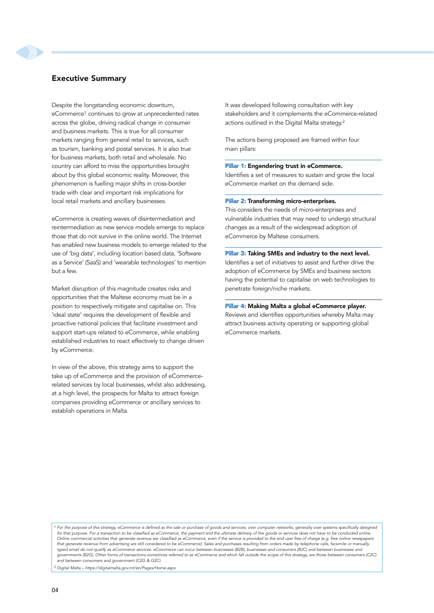#### Executive Summary

Despite the longstanding economic downturn, eCommerce1 continues to grow at unprecedented rates across the globe, driving radical change in consumer and business markets. This is true for all consumer markets ranging from general retail to services, such as tourism, banking and postal services. It is also true for business markets, both retail and wholesale. No country can afford to miss the opportunities brought about by this global economic reality. Moreover, this phenomenon is fuelling major shifts in cross-border trade with clear and important risk implications for local retail markets and ancillary businesses.

eCommerce is creating waves of disintermediation and reintermediation as new service models emerge to replace those that do not survive in the online world. The Internet has enabled new business models to emerge related to the use of 'big data', including location based data, 'Software as a Service' (SaaS) and 'wearable technologies' to mention but a few.

Market disruption of this magnitude creates risks and opportunities that the Maltese economy must be in a position to respectively mitigate and capitalise on. This 'ideal state' requires the development of flexible and proactive national policies that facilitate investment and support start-ups related to eCommerce, while enabling established industries to react effectively to change driven by eCommerce.

In view of the above, this strategy aims to support the take up of eCommerce and the provision of eCommercerelated services by local businesses, whilst also addressing, at a high level, the prospects for Malta to attract foreign companies providing eCommerce or ancillary services to establish operations in Malta.

It was developed following consultation with key stakeholders and it complements the eCommerce-related actions outlined in the Digital Malta strategy.<sup>2</sup>

The actions being proposed are framed within four main pillars:

#### Pillar 1: Engendering trust in eCommerce.

Identifies a set of measures to sustain and grow the local eCommerce market on the demand side.

#### Pillar 2: Transforming micro-enterprises.

This considers the needs of micro-enterprises and vulnerable industries that may need to undergo structural changes as a result of the widespread adoption of eCommerce by Maltese consumers.

#### Pillar 3: Taking SMEs and industry to the next level.

Identifies a set of initiatives to assist and further drive the adoption of eCommerce by SMEs and business sectors having the potential to capitalise on web technologies to penetrate foreign/niche markets.

#### Pillar 4: Making Malta a global eCommerce player.

Reviews and identifies opportunities whereby Malta may attract business activity operating or supporting global eCommerce markets.

*1 For the purpose of this strategy, eCommerce is defined as the sale or purchase of goods and services, over computer networks, generally over systems specifically designed for that purpose. For a transaction to be classified as eCommerce, the payment and the ultimate delivery of the goods or services does not have to be conducted online. Online commercial activities that generate revenue are classified as eCommerce, even if the service is provided to the end user free of charge (e.g. free online newspapers that generate revenue from advertising are still considered to be eCommerce). Sales and purchases resulting from orders made by telephone calls, facsimile or manually*  typed email do not qualify as eCommerce services. eCommerce can occur between businesses (B2B), businesses and consumers (B2C) and between businesses and<br>governments (B2G). Other forms of transactions sometimes referred to *and between consumers and government (C2G & G2C).*

*2 Digital Malta – https://digitalmalta.gov.mt/en/Pages/Home.aspx*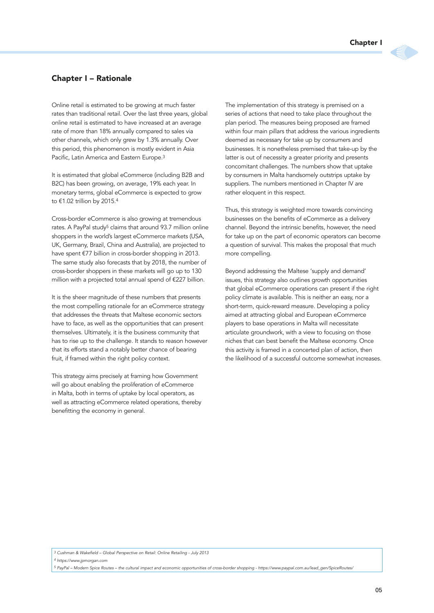#### Chapter I – Rationale

Online retail is estimated to be growing at much faster rates than traditional retail. Over the last three years, global online retail is estimated to have increased at an average rate of more than 18% annually compared to sales via other channels, which only grew by 1.3% annually. Over this period, this phenomenon is mostly evident in Asia Pacific, Latin America and Eastern Europe.3

It is estimated that global eCommerce (including B2B and B2C) has been growing, on average, 19% each year. In monetary terms, global eCommerce is expected to grow to €1.02 trillion by 2015.4

Cross-border eCommerce is also growing at tremendous rates. A PayPal study<sup>5</sup> claims that around 93.7 million online shoppers in the world's largest eCommerce markets (USA, UK, Germany, Brazil, China and Australia), are projected to have spent €77 billion in cross-border shopping in 2013. The same study also forecasts that by 2018, the number of cross-border shoppers in these markets will go up to 130 million with a projected total annual spend of €227 billion.

It is the sheer magnitude of these numbers that presents the most compelling rationale for an eCommerce strategy that addresses the threats that Maltese economic sectors have to face, as well as the opportunities that can present themselves. Ultimately, it is the business community that has to rise up to the challenge. It stands to reason however that its efforts stand a notably better chance of bearing fruit, if framed within the right policy context.

This strategy aims precisely at framing how Government will go about enabling the proliferation of eCommerce in Malta, both in terms of uptake by local operators, as well as attracting eCommerce related operations, thereby benefitting the economy in general.

The implementation of this strategy is premised on a series of actions that need to take place throughout the plan period. The measures being proposed are framed within four main pillars that address the various ingredients deemed as necessary for take up by consumers and businesses. It is nonetheless premised that take-up by the latter is out of necessity a greater priority and presents concomitant challenges. The numbers show that uptake by consumers in Malta handsomely outstrips uptake by suppliers. The numbers mentioned in Chapter IV are rather eloquent in this respect.

Thus, this strategy is weighted more towards convincing businesses on the benefits of eCommerce as a delivery channel. Beyond the intrinsic benefits, however, the need for take up on the part of economic operators can become a question of survival. This makes the proposal that much more compelling.

Beyond addressing the Maltese 'supply and demand' issues, this strategy also outlines growth opportunities that global eCommerce operations can present if the right policy climate is available. This is neither an easy, nor a short-term, quick-reward measure. Developing a policy aimed at attracting global and European eCommerce players to base operations in Malta will necessitate articulate groundwork, with a view to focusing on those niches that can best benefit the Maltese economy. Once this activity is framed in a concerted plan of action, then the likelihood of a successful outcome somewhat increases.

*3 Cushman & Wakefield – Global Perspective on Retail: Online Retailing - July 2013*

*4 https://www.jpmorgan.com* 

*5 PayPal – Modern Spice Routes – the cultural impact and economic opportunities of cross-border shopping - https://www.paypal.com.au/lead\_gen/SpiceRoutes/*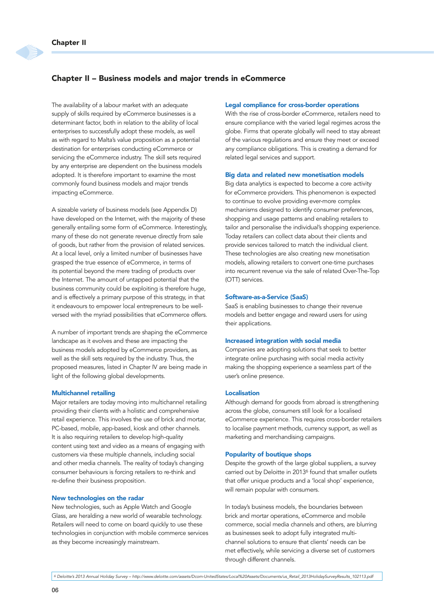#### Chapter II – Business models and major trends in eCommerce

The availability of a labour market with an adequate supply of skills required by eCommerce businesses is a determinant factor, both in relation to the ability of local enterprises to successfully adopt these models, as well as with regard to Malta's value proposition as a potential destination for enterprises conducting eCommerce or servicing the eCommerce industry. The skill sets required by any enterprise are dependent on the business models adopted. It is therefore important to examine the most commonly found business models and major trends impacting eCommerce.

A sizeable variety of business models (see Appendix D) have developed on the Internet, with the majority of these generally entailing some form of eCommerce. Interestingly, many of these do not generate revenue directly from sale of goods, but rather from the provision of related services. At a local level, only a limited number of businesses have grasped the true essence of eCommerce, in terms of its potential beyond the mere trading of products over the Internet. The amount of untapped potential that the business community could be exploiting is therefore huge, and is effectively a primary purpose of this strategy, in that it endeavours to empower local entrepreneurs to be wellversed with the myriad possibilities that eCommerce offers.

A number of important trends are shaping the eCommerce landscape as it evolves and these are impacting the business models adopted by eCommerce providers, as well as the skill sets required by the industry. Thus, the proposed measures, listed in Chapter IV are being made in light of the following global developments.

#### Multichannel retailing

Major retailers are today moving into multichannel retailing providing their clients with a holistic and comprehensive retail experience. This involves the use of brick and mortar, PC-based, mobile, app-based, kiosk and other channels. It is also requiring retailers to develop high-quality content using text and video as a means of engaging with customers via these multiple channels, including social and other media channels. The reality of today's changing consumer behaviours is forcing retailers to re-think and re-define their business proposition.

#### New technologies on the radar

New technologies, such as Apple Watch and Google Glass, are heralding a new world of wearable technology. Retailers will need to come on board quickly to use these technologies in conjunction with mobile commerce services as they become increasingly mainstream.

#### Legal compliance for cross-border operations

With the rise of cross-border eCommerce, retailers need to ensure compliance with the varied legal regimes across the globe. Firms that operate globally will need to stay abreast of the various regulations and ensure they meet or exceed any compliance obligations. This is creating a demand for related legal services and support.

#### Big data and related new monetisation models

Big data analytics is expected to become a core activity for eCommerce providers. This phenomenon is expected to continue to evolve providing ever-more complex mechanisms designed to identify consumer preferences, shopping and usage patterns and enabling retailers to tailor and personalise the individual's shopping experience. Today retailers can collect data about their clients and provide services tailored to match the individual client. These technologies are also creating new monetisation models, allowing retailers to convert one-time purchases into recurrent revenue via the sale of related Over-The-Top (OTT) services.

#### Software-as-a-Service (SaaS)

SaaS is enabling businesses to change their revenue models and better engage and reward users for using their applications.

#### Increased integration with social media

Companies are adopting solutions that seek to better integrate online purchasing with social media activity making the shopping experience a seamless part of the user's online presence.

#### Localisation

Although demand for goods from abroad is strengthening across the globe, consumers still look for a localised eCommerce experience. This requires cross-border retailers to localise payment methods, currency support, as well as marketing and merchandising campaigns.

#### Popularity of boutique shops

Despite the growth of the large global suppliers, a survey carried out by Deloitte in 20136 found that smaller outlets that offer unique products and a 'local shop' experience, will remain popular with consumers.

In today's business models, the boundaries between brick and mortar operations, eCommerce and mobile commerce, social media channels and others, are blurring as businesses seek to adopt fully integrated multichannel solutions to ensure that clients' needs can be met effectively, while servicing a diverse set of customers through different channels.

*6 Deloitte's 2013 Annual Holiday Survey – http://www.deloitte.com/assets/Dcom-UnitedStates/Local%20Assets/Documents/us\_Retail\_2013HolidaySurveyResults\_102113.pdf*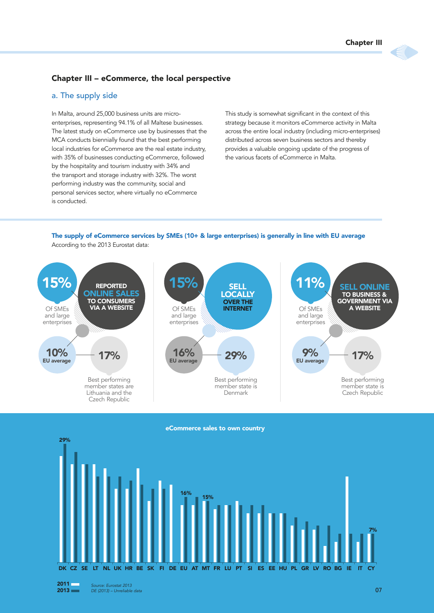#### Chapter III – eCommerce, the local perspective

#### a. The supply side

In Malta, around 25,000 business units are microenterprises, representing 94.1% of all Maltese businesses. The latest study on eCommerce use by businesses that the MCA conducts biennially found that the best performing local industries for eCommerce are the real estate industry, with 35% of businesses conducting eCommerce, followed by the hospitality and tourism industry with 34% and the transport and storage industry with 32%. The worst performing industry was the community, social and personal services sector, where virtually no eCommerce is conducted.

This study is somewhat significant in the context of this strategy because it monitors eCommerce activity in Malta across the entire local industry (including micro-enterprises) distributed across seven business sectors and thereby provides a valuable ongoing update of the progress of the various facets of eCommerce in Malta.

The supply of eCommerce services by SMEs (10+ & large enterprises) is generally in line with EU average According to the 2013 Eurostat data:



eCommerce sales to own country

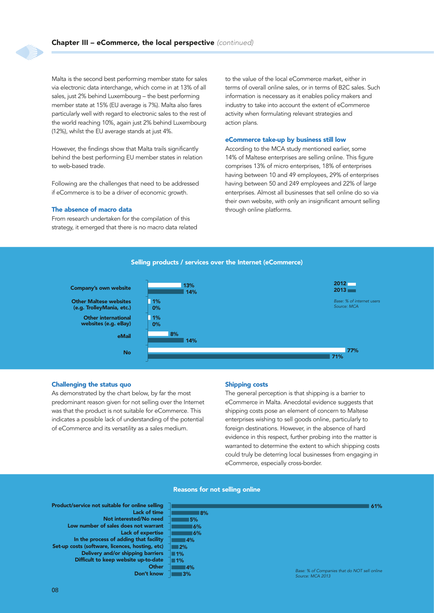Malta is the second best performing member state for sales via electronic data interchange, which come in at 13% of all sales, just 2% behind Luxembourg – the best performing member state at 15% (EU average is 7%). Malta also fares particularly well with regard to electronic sales to the rest of the world reaching 10%, again just 2% behind Luxembourg (12%), whilst the EU average stands at just 4%.

However, the findings show that Malta trails significantly behind the best performing EU member states in relation to web-based trade.

Following are the challenges that need to be addressed if eCommerce is to be a driver of economic growth.

#### The absence of macro data

From research undertaken for the compilation of this strategy, it emerged that there is no macro data related to the value of the local eCommerce market, either in terms of overall online sales, or in terms of B2C sales. Such information is necessary as it enables policy makers and industry to take into account the extent of eCommerce activity when formulating relevant strategies and action plans.

#### eCommerce take-up by business still low

According to the MCA study mentioned earlier, some 14% of Maltese enterprises are selling online. This figure comprises 13% of micro enterprises, 18% of enterprises having between 10 and 49 employees, 29% of enterprises having between 50 and 249 employees and 22% of large enterprises. Almost all businesses that sell online do so via their own website, with only an insignificant amount selling through online platforms.



#### Challenging the status quo

As demonstrated by the chart below, by far the most predominant reason given for not selling over the Internet was that the product is not suitable for eCommerce. This indicates a possible lack of understanding of the potential of eCommerce and its versatility as a sales medium.

#### Shipping costs

The general perception is that shipping is a barrier to eCommerce in Malta. Anecdotal evidence suggests that shipping costs pose an element of concern to Maltese enterprises wishing to sell goods online, particularly to foreign destinations. However, in the absence of hard evidence in this respect, further probing into the matter is warranted to determine the extent to which shipping costs could truly be deterring local businesses from engaging in eCommerce, especially cross-border.



#### Reasons for not selling online

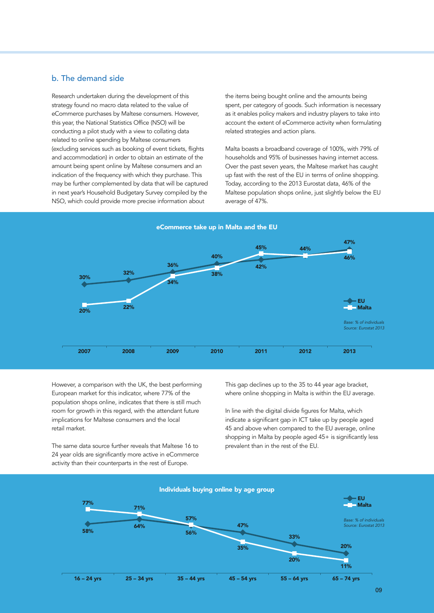#### b. The demand side

Research undertaken during the development of this strategy found no macro data related to the value of eCommerce purchases by Maltese consumers. However, this year, the National Statistics Office (NSO) will be conducting a pilot study with a view to collating data related to online spending by Maltese consumers (excluding services such as booking of event tickets, flights and accommodation) in order to obtain an estimate of the amount being spent online by Maltese consumers and an indication of the frequency with which they purchase. This may be further complemented by data that will be captured in next year's Household Budgetary Survey compiled by the NSO, which could provide more precise information about

the items being bought online and the amounts being spent, per category of goods. Such information is necessary as it enables policy makers and industry players to take into account the extent of eCommerce activity when formulating related strategies and action plans.

Malta boasts a broadband coverage of 100%, with 79% of households and 95% of businesses having internet access. Over the past seven years, the Maltese market has caught up fast with the rest of the EU in terms of online shopping. Today, according to the 2013 Eurostat data, 46% of the Maltese population shops online, just slightly below the EU average of 47%.



However, a comparison with the UK, the best performing European market for this indicator, where 77% of the population shops online, indicates that there is still much room for growth in this regard, with the attendant future implications for Maltese consumers and the local retail market.

The same data source further reveals that Maltese 16 to 24 year olds are significantly more active in eCommerce activity than their counterparts in the rest of Europe.

This gap declines up to the 35 to 44 year age bracket, where online shopping in Malta is within the EU average.

In line with the digital divide figures for Malta, which indicate a significant gap in ICT take up by people aged 45 and above when compared to the EU average, online shopping in Malta by people aged 45+ is significantly less prevalent than in the rest of the EU.

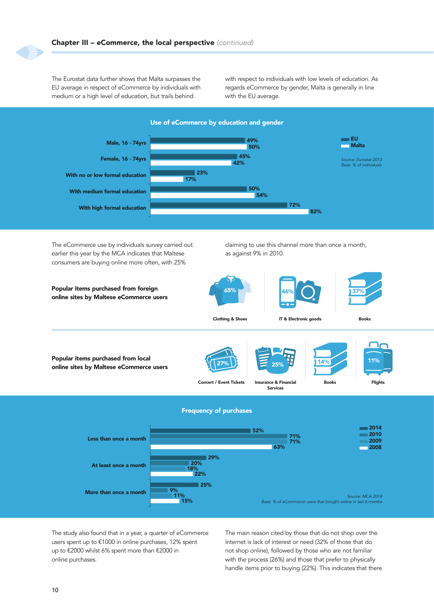The Eurostat data further shows that Malta surpasses the EU average in respect of eCommerce by individuals with medium or a high level of education, but trails behind

with respect to individuals with low levels of education. As regards eCommerce by gender, Malta is generally in line with the EU average.



The study also found that in a year, a quarter of eCommerce users spent up to €1000 in online purchases, 12% spent up to €2000 whilst 6% spent more than €2000 in online purchases.

The main reason cited by those that do not shop over the Internet is lack of interest or need (32% of those that do not shop online), followed by those who are not familiar with the process (26%) and those that prefer to physically handle items prior to buying (22%). This indicates that there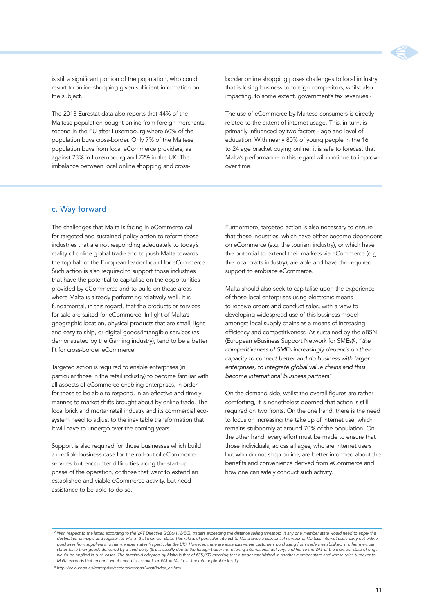is still a significant portion of the population, who could resort to online shopping given sufficient information on the subject.

The 2013 Eurostat data also reports that 44% of the Maltese population bought online from foreign merchants, second in the EU after Luxembourg where 60% of the population buys cross-border. Only 7% of the Maltese population buys from local eCommerce providers, as against 23% in Luxembourg and 72% in the UK. The imbalance between local online shopping and crossborder online shopping poses challenges to local industry that is losing business to foreign competitors, whilst also impacting, to some extent, government's tax revenues.7

The use of eCommerce by Maltese consumers is directly related to the extent of internet usage. This, in turn, is primarily influenced by two factors - age and level of education. With nearly 80% of young people in the 16 to 24 age bracket buying online, it is safe to forecast that Malta's performance in this regard will continue to improve over time.

#### c. Way forward

The challenges that Malta is facing in eCommerce call for targeted and sustained policy action to reform those industries that are not responding adequately to today's reality of online global trade and to push Malta towards the top half of the European leader board for eCommerce. Such action is also required to support those industries that have the potential to capitalise on the opportunities provided by eCommerce and to build on those areas where Malta is already performing relatively well. It is fundamental, in this regard, that the products or services for sale are suited for eCommerce. In light of Malta's geographic location, physical products that are small, light and easy to ship, or digital goods/intangible services (as demonstrated by the Gaming industry), tend to be a better fit for cross-border eCommerce.

Targeted action is required to enable enterprises (in particular those in the retail industry) to become familiar with all aspects of eCommerce-enabling enterprises, in order for these to be able to respond, in an effective and timely manner, to market shifts brought about by online trade. The local brick and mortar retail industry and its commercial ecosystem need to adjust to the inevitable transformation that it will have to undergo over the coming years.

Support is also required for those businesses which build a credible business case for the roll-out of eCommerce services but encounter difficulties along the start-up phase of the operation, or those that want to extend an established and viable eCommerce activity, but need assistance to be able to do so.

Furthermore, targeted action is also necessary to ensure that those industries, which have either become dependent on eCommerce (e.g. the tourism industry), or which have the potential to extend their markets via eCommerce (e.g. the local crafts industry), are able and have the required support to embrace eCommerce.

Malta should also seek to capitalise upon the experience of those local enterprises using electronic means to receive orders and conduct sales, with a view to developing widespread use of this business model amongst local supply chains as a means of increasing efficiency and competitiveness. As sustained by the eBSN (European eBusiness Support Network for SMEs)8, "*the competitiveness of SMEs increasingly depends on their capacity to connect better and do business with larger enterprises, to integrate global value chains and thus become international business partners*".

On the demand side, whilst the overall figures are rather comforting, it is nonetheless deemed that action is still required on two fronts. On the one hand, there is the need to focus on increasing the take up of internet use, which remains stubbornly at around 70% of the population. On the other hand, every effort must be made to ensure that those individuals, across all ages, who are internet users but who do not shop online, are better informed about the benefits and convenience derived from eCommerce and how one can safely conduct such activity.

*<sup>7</sup> With respect to the latter, according to the VAT Directive (2006/112/EC), traders exceeding the distance selling threshold in any one member state would need to apply the* destination principle and register for VAT in that member state. This rule is of particular interest to Malta since a substantial number of Maltese internet users carry out online purchases from suppliers in other member states (in particular the UK). However, there are instances where customers purchasing from traders established in other member<br>states have their goods delivered by a third party (t *would be applied in such cases. The threshold adopted by Malta is that of €35,000 meaning that a trader established in another member state and whose sales turnover t Malta exceeds that amount, would need to account for VAT in Malta, at the rate applicable locally.*

*8 http://ec.europa.eu/enterprise/sectors/ict/ebsn/what/index\_en.htm*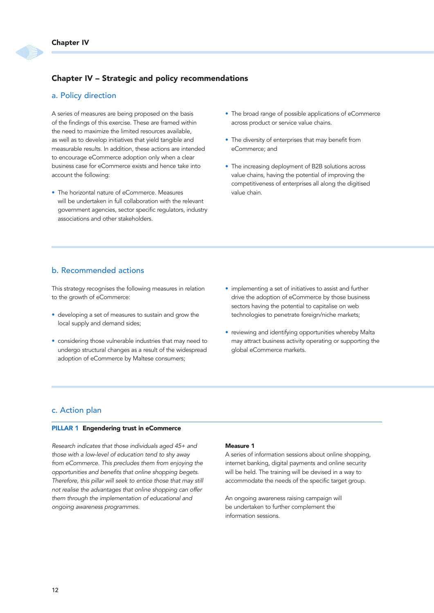

#### Chapter IV – Strategic and policy recommendations

#### a. Policy direction

A series of measures are being proposed on the basis of the findings of this exercise. These are framed within the need to maximize the limited resources available, as well as to develop initiatives that yield tangible and measurable results. In addition, these actions are intended to encourage eCommerce adoption only when a clear business case for eCommerce exists and hence take into account the following:

• The horizontal nature of eCommerce. Measures will be undertaken in full collaboration with the relevant government agencies, sector specific regulators, industry associations and other stakeholders.

- The broad range of possible applications of eCommerce across product or service value chains.
- The diversity of enterprises that may benefit from eCommerce; and
- The increasing deployment of B2B solutions across value chains, having the potential of improving the competitiveness of enterprises all along the digitised value chain.

#### b. Recommended actions

This strategy recognises the following measures in relation to the growth of eCommerce:

- developing a set of measures to sustain and grow the local supply and demand sides;
- considering those vulnerable industries that may need to undergo structural changes as a result of the widespread adoption of eCommerce by Maltese consumers;
- implementing a set of initiatives to assist and further drive the adoption of eCommerce by those business sectors having the potential to capitalise on web technologies to penetrate foreign/niche markets;
- reviewing and identifying opportunities whereby Malta may attract business activity operating or supporting the global eCommerce markets.

#### c. Action plan

#### PILLAR 1 Engendering trust in eCommerce

*Research indicates that those individuals aged 45+ and those with a low-level of education tend to shy away from eCommerce. This precludes them from enjoying the opportunities and benefits that online shopping begets. Therefore, this pillar will seek to entice those that may still not realise the advantages that online shopping can offer them through the implementation of educational and ongoing awareness programmes.* 

#### Measure 1

A series of information sessions about online shopping, internet banking, digital payments and online security will be held. The training will be devised in a way to accommodate the needs of the specific target group.

An ongoing awareness raising campaign will be undertaken to further complement the information sessions.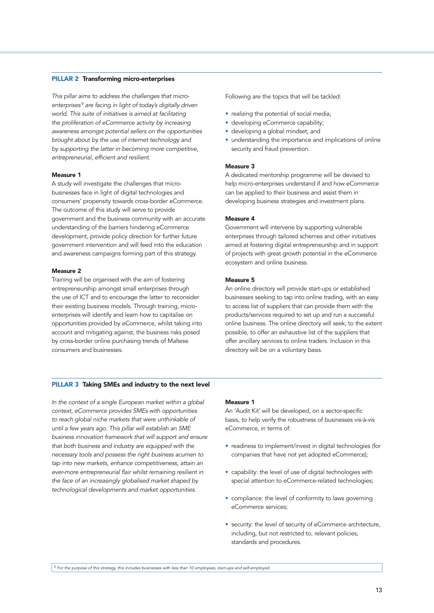#### PILLAR 2 Transforming micro-enterprises

*This pillar aims to address the challenges that microenterprises9 are facing in light of today's digitally driven world. This suite of initiatives is aimed at facilitating the proliferation of eCommerce activity by increasing awareness amongst potential sellers on the opportunities brought about by the use of internet technology and by supporting the latter in becoming more competitive, entrepreneurial, efficient and resilient.*

#### Measure 1

A study will investigate the challenges that microbusinesses face in light of digital technologies and consumers' propensity towards cross-border eCommerce. The outcome of this study will serve to provide government and the business community with an accurate understanding of the barriers hindering eCommerce development, provide policy direction for further future government intervention and will feed into the education and awareness campaigns forming part of this strategy.

#### Measure 2

Training will be organised with the aim of fostering entrepreneurship amongst small enterprises through the use of ICT and to encourage the latter to reconsider their existing business models. Through training, microenterprises will identify and learn how to capitalise on opportunities provided by eCommerce, whilst taking into account and mitigating against, the business risks posed by cross-border online purchasing trends of Maltese consumers and businesses.

Following are the topics that will be tackled:

- realizing the potential of social media;
- developing eCommerce capability;
- developing a global mindset; and
- understanding the importance and implications of online security and fraud prevention.

#### Measure 3

A dedicated mentorship programme will be devised to help micro-enterprises understand if and how eCommerce can be applied to their business and assist them in developing business strategies and investment plans.

#### Measure 4

Government will intervene by supporting vulnerable enterprises through tailored schemes and other initiatives aimed at fostering digital entrepreneurship and in support of projects with great growth potential in the eCommerce ecosystem and online business.

#### Measure 5

An online directory will provide start-ups or established businesses seeking to tap into online trading, with an easy to access list of suppliers that can provide them with the products/services required to set up and run a successful online business. The online directory will seek, to the extent possible, to offer an exhaustive list of the suppliers that offer ancillary services to online traders. Inclusion in this directory will be on a voluntary basis.

#### PILLAR 3 Taking SMEs and industry to the next level

*In the context of a single European market within a global context, eCommerce provides SMEs with opportunities to reach global niche markets that were unthinkable of until a few years ago. This pillar will establish an SME business innovation framework that will support and ensure that both business and industry are equipped with the necessary tools and possess the right business acumen to tap into new markets, enhance competitiveness, attain an ever-more entrepreneurial flair whilst remaining resilient in the face of an increasingly globalised market shaped by technological developments and market opportunities.* 

#### Measure 1

An 'Audit Kit' will be developed, on a sector-specific basis, to help verify the robustness of businesses vis-à-vis eCommerce, in terms of:

- readiness to implement/invest in digital technologies (for companies that have not yet adopted eCommerce);
- capability: the level of use of digital technologies with special attention to eCommerce-related technologies;
- compliance: the level of conformity to laws governing eCommerce services;
- security: the level of security of eCommerce architecture, including, but not restricted to, relevant policies, standards and procedures.

*9 For the purpose of this strategy, this includes businesses with less than 10 employees, start-ups and self-employed.*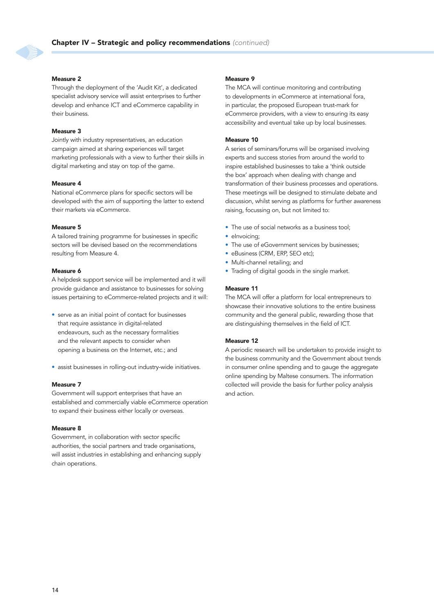

#### Measure 2

Through the deployment of the 'Audit Kit', a dedicated specialist advisory service will assist enterprises to further develop and enhance ICT and eCommerce capability in their business.

#### Measure 3

Jointly with industry representatives, an education campaign aimed at sharing experiences will target marketing professionals with a view to further their skills in digital marketing and stay on top of the game.

#### Measure 4

National eCommerce plans for specific sectors will be developed with the aim of supporting the latter to extend their markets via eCommerce.

#### Measure 5

A tailored training programme for businesses in specific sectors will be devised based on the recommendations resulting from Measure 4.

#### Measure 6

A helpdesk support service will be implemented and it will provide guidance and assistance to businesses for solving issues pertaining to eCommerce-related projects and it will:

- serve as an initial point of contact for businesses that require assistance in digital-related endeavours, such as the necessary formalities and the relevant aspects to consider when opening a business on the Internet, etc.; and
- assist businesses in rolling-out industry-wide initiatives.

#### Measure 7

Government will support enterprises that have an established and commercially viable eCommerce operation to expand their business either locally or overseas.

#### Measure 8

Government, in collaboration with sector specific authorities, the social partners and trade organisations, will assist industries in establishing and enhancing supply chain operations.

#### Measure 0

The MCA will continue monitoring and contributing to developments in eCommerce at international fora, in particular, the proposed European trust-mark for eCommerce providers, with a view to ensuring its easy accessibility and eventual take up by local businesses.

#### Measure 10

A series of seminars/forums will be organised involving experts and success stories from around the world to inspire established businesses to take a 'think outside the box' approach when dealing with change and transformation of their business processes and operations. These meetings will be designed to stimulate debate and discussion, whilst serving as platforms for further awareness raising, focussing on, but not limited to:

- The use of social networks as a business tool;
- elnvoicina:
- The use of eGovernment services by businesses;
- eBusiness (CRM, ERP, SEO etc);
- Multi-channel retailing; and
- Trading of digital goods in the single market.

#### Measure 11

The MCA will offer a platform for local entrepreneurs to showcase their innovative solutions to the entire business community and the general public, rewarding those that are distinguishing themselves in the field of ICT.

#### Measure 12

A periodic research will be undertaken to provide insight to the business community and the Government about trends in consumer online spending and to gauge the aggregate online spending by Maltese consumers. The information collected will provide the basis for further policy analysis and action.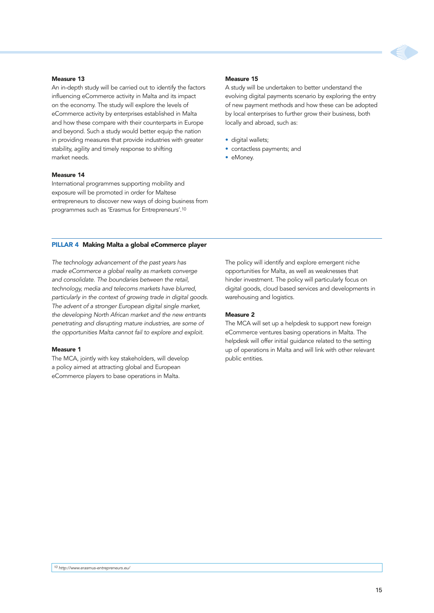

#### Measure 13

An in-depth study will be carried out to identify the factors influencing eCommerce activity in Malta and its impact on the economy. The study will explore the levels of eCommerce activity by enterprises established in Malta and how these compare with their counterparts in Europe and beyond. Such a study would better equip the nation in providing measures that provide industries with greater stability, agility and timely response to shifting market needs.

#### Measure 14

International programmes supporting mobility and exposure will be promoted in order for Maltese entrepreneurs to discover new ways of doing business from programmes such as 'Erasmus for Entrepreneurs'.10

#### PILLAR 4 Making Malta a global eCommerce player

*The technology advancement of the past years has made eCommerce a global reality as markets converge and consolidate. The boundaries between the retail, technology, media and telecoms markets have blurred, particularly in the context of growing trade in digital goods. The advent of a stronger European digital single market, the developing North African market and the new entrants penetrating and disrupting mature industries, are some of the opportunities Malta cannot fail to explore and exploit.*

#### Measure 1

The MCA, jointly with key stakeholders, will develop a policy aimed at attracting global and European eCommerce players to base operations in Malta.

Measure 15

A study will be undertaken to better understand the evolving digital payments scenario by exploring the entry of new payment methods and how these can be adopted by local enterprises to further grow their business, both locally and abroad, such as:

- digital wallets;
- contactless payments; and
- eMoney.

The policy will identify and explore emergent niche opportunities for Malta, as well as weaknesses that hinder investment. The policy will particularly focus on digital goods, cloud based services and developments in warehousing and logistics.

#### Measure 2

The MCA will set up a helpdesk to support new foreign eCommerce ventures basing operations in Malta. The helpdesk will offer initial guidance related to the setting up of operations in Malta and will link with other relevant public entities.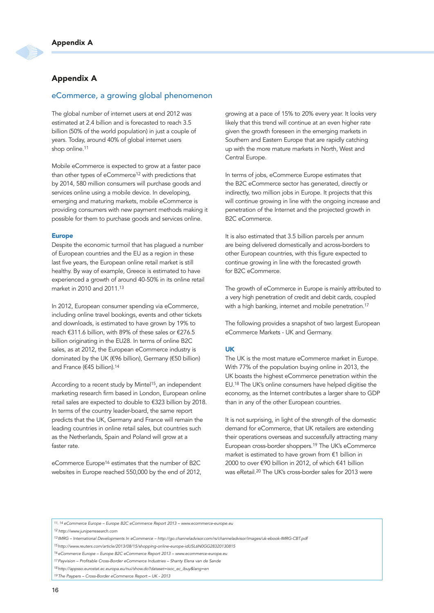#### Appendix A

#### eCommerce, a growing global phenomenon

The global number of internet users at end 2012 was estimated at 2.4 billion and is forecasted to reach 3.5 billion (50% of the world population) in just a couple of years. Today, around 40% of global internet users shop online.11

Mobile eCommerce is expected to grow at a faster pace than other types of eCommerce12 with predictions that by 2014, 580 million consumers will purchase goods and services online using a mobile device. In developing, emerging and maturing markets, mobile eCommerce is providing consumers with new payment methods making it possible for them to purchase goods and services online.

#### Europe

Despite the economic turmoil that has plagued a number of European countries and the EU as a region in these last five years, the European online retail market is still healthy. By way of example, Greece is estimated to have experienced a growth of around 40-50% in its online retail market in 2010 and 2011.13

In 2012, European consumer spending via eCommerce, including online travel bookings, events and other tickets and downloads, is estimated to have grown by 19% to reach €311.6 billion, with 89% of these sales or €276.5 billion originating in the EU28. In terms of online B2C sales, as at 2012, the European eCommerce industry is dominated by the UK (€96 billion), Germany (€50 billion) and France (€45 billion).14

According to a recent study by Mintel<sup>15</sup>, an independent marketing research firm based in London, European online retail sales are expected to double to €323 billion by 2018. In terms of the country leader-board, the same report predicts that the UK, Germany and France will remain the leading countries in online retail sales, but countries such as the Netherlands, Spain and Poland will grow at a faster rate.

eCommerce Europe16 estimates that the number of B2C websites in Europe reached 550,000 by the end of 2012,

growing at a pace of 15% to 20% every year. It looks very likely that this trend will continue at an even higher rate given the growth foreseen in the emerging markets in Southern and Eastern Europe that are rapidly catching up with the more mature markets in North, West and Central Europe.

In terms of jobs, eCommerce Europe estimates that the B2C eCommerce sector has generated, directly or indirectly, two million jobs in Europe. It projects that this will continue growing in line with the ongoing increase and penetration of the Internet and the projected growth in B2C eCommerce.

It is also estimated that 3.5 billion parcels per annum are being delivered domestically and across-borders to other European countries, with this figure expected to continue growing in line with the forecasted growth for B2C eCommerce.

The growth of eCommerce in Europe is mainly attributed to a very high penetration of credit and debit cards, coupled with a high banking, internet and mobile penetration.<sup>17</sup>

The following provides a snapshot of two largest European eCommerce Markets - UK and Germany.

#### UK

The UK is the most mature eCommerce market in Europe. With 77% of the population buying online in 2013, the UK boasts the highest eCommerce penetration within the EU.18 The UK's online consumers have helped digitise the economy, as the Internet contributes a larger share to GDP than in any of the other European countries.

It is not surprising, in light of the strength of the domestic demand for eCommerce, that UK retailers are extending their operations overseas and successfully attracting many European cross-border shoppers.19 The UK's eCommerce market is estimated to have grown from €1 billion in 2000 to over €90 billion in 2012, of which €41 billion was eRetail.20 The UK's cross-border sales for 2013 were

*11, 14 eCommerce Europe – Europe B2C eCommerce Report 2013 – www.ecommerce-europe.eu*

*12 http://www.juniperresearch.com*

*<sup>13</sup> IMRG – International Developments In eCommerce – http://go.channeladvisor.com/rs/channeladvisor/images/uk-ebook-IMRG-CBT.pdf* 

*<sup>15</sup> http://www.reuters.com/article/2013/08/15/shopping-online-europe-idUSL6N0GG28320130815*

*<sup>16</sup> eCommerce Europe – Europe B2C eCommerce Report 2013 – www.ecommerce-europe.eu*

*<sup>17</sup>Payvision – Profitable Cross-Border eCommerce Industries – Shanty Elena van de Sande*

*<sup>18</sup> http://appsso.eurostat.ec.europa.eu/nui/show.do?dataset=isoc\_ec\_ibuy&lang=en*

*<sup>19</sup>The Paypers – Cross-Border eCommerce Report – UK - 2013*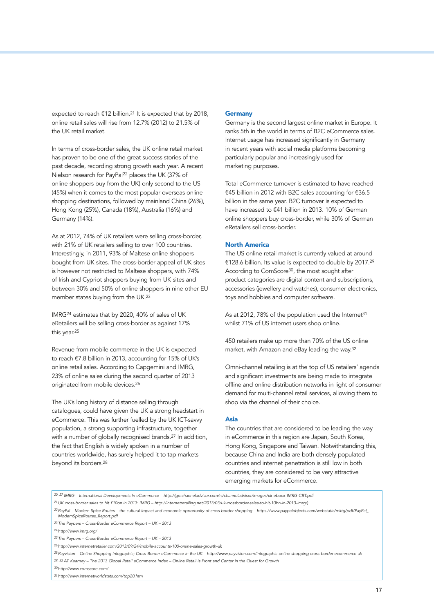expected to reach €12 billion.21 It is expected that by 2018, online retail sales will rise from 12.7% (2012) to 21.5% of the UK retail market.

In terms of cross-border sales, the UK online retail market has proven to be one of the great success stories of the past decade, recording strong growth each year. A recent Nielson research for PayPal22 places the UK (37% of online shoppers buy from the UK) only second to the US (45%) when it comes to the most popular overseas online shopping destinations, followed by mainland China (26%), Hong Kong (25%), Canada (18%), Australia (16%) and Germany (14%).

As at 2012, 74% of UK retailers were selling cross-border, with 21% of UK retailers selling to over 100 countries. Interestingly, in 2011, 93% of Maltese online shoppers bought from UK sites. The cross-border appeal of UK sites is however not restricted to Maltese shoppers, with 74% of Irish and Cypriot shoppers buying from UK sites and between 30% and 50% of online shoppers in nine other EU member states buying from the UK.23

IMRG24 estimates that by 2020, 40% of sales of UK eRetailers will be selling cross-border as against 17% this year.25

Revenue from mobile commerce in the UK is expected to reach €7.8 billion in 2013, accounting for 15% of UK's online retail sales. According to Capgemini and IMRG, 23% of online sales during the second quarter of 2013 originated from mobile devices.26

The UK's long history of distance selling through catalogues, could have given the UK a strong headstart in eCommerce. This was further fuelled by the UK ICT-savvy population, a strong supporting infrastructure, together with a number of globally recognised brands.27 In addition, the fact that English is widely spoken in a number of countries worldwide, has surely helped it to tap markets beyond its borders.28

#### **Germany**

Germany is the second largest online market in Europe. It ranks 5th in the world in terms of B2C eCommerce sales. Internet usage has increased significantly in Germany in recent years with social media platforms becoming particularly popular and increasingly used for marketing purposes.

Total eCommerce turnover is estimated to have reached €45 billion in 2012 with B2C sales accounting for €36.5 billion in the same year. B2C turnover is expected to have increased to €41 billion in 2013. 10% of German online shoppers buy cross-border, while 30% of German eRetailers sell cross-border.

#### North America

The US online retail market is currently valued at around €128.6 billion. Its value is expected to double by 2017.29 According to ComScore30, the most sought after product categories are digital content and subscriptions, accessories (jewellery and watches), consumer electronics, toys and hobbies and computer software.

As at 2012, 78% of the population used the Internet<sup>31</sup> whilst 71% of US internet users shop online.

450 retailers make up more than 70% of the US online market, with Amazon and eBay leading the way.32

Omni-channel retailing is at the top of US retailers' agenda and significant investments are being made to integrate offline and online distribution networks in light of consumer demand for multi-channel retail services, allowing them to shop via the channel of their choice.

#### Asia

The countries that are considered to be leading the way in eCommerce in this region are Japan, South Korea, Hong Kong, Singapore and Taiwan. Notwithstanding this, because China and India are both densely populated countries and internet penetration is still low in both countries, they are considered to be very attractive emerging markets for eCommerce.

*20, 27 IMRG – International Developments In eCommerce – http://go.channeladvisor.com/rs/channeladvisor/images/uk-ebook-IMRG-CBT.pdf* 

*21UK cross-border sales to hit £10bn in 2013: IMRG – http://internetretailing.net/2013/03/uk-crossborder-sales-to-hit-10bn-in-2013-imrg/).* 

*22PayPal – Modern Spice Routes – the cultural impact and economic opportunity of cross-border shopping – https://www.paypalobjects.com/webstatic/mktg/pdf/PayPal\_ ModernSpiceRoutes\_Report.pdf* 

*24 http://www.imrg.org/*

*30 http://www.comscore.com/* 

*<sup>23</sup>The Paypers – Cross-Border eCommerce Report – UK – 2013*

*<sup>25</sup>The Paypers – Cross-Border eCommerce Report – UK – 2013*

*<sup>26</sup> http://www.internetretailer.com/2013/09/24/mobile-accounts-100-online-sales-growth-uk* 

*<sup>28</sup>Payvision – Online Shopping Infographic; Cross-Border eCommerce in the UK – http://www.payvision.com/infographic-online-shopping-cross-border-ecommerce-uk* 

*<sup>29, 32</sup> AT Kearney – The 2013 Global Retail eCommerce Index – Online Retail Is Front and Center in the Quest for Growth* 

*<sup>31</sup> http://www.internetworldstats.com/top20.htm*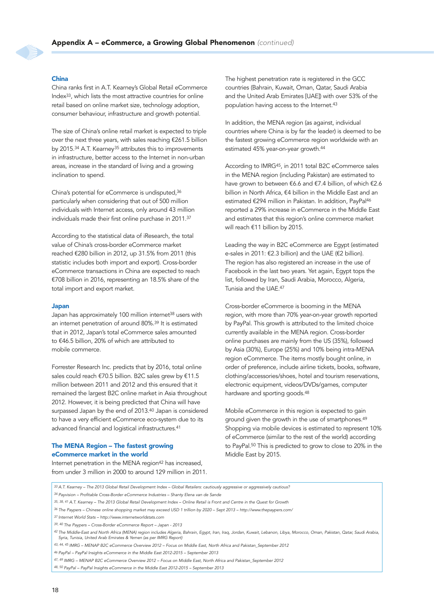#### China

China ranks first in A.T. Kearney's Global Retail eCommerce Index33, which lists the most attractive countries for online retail based on online market size, technology adoption, consumer behaviour, infrastructure and growth potential.

The size of China's online retail market is expected to triple over the next three years, with sales reaching €261.5 billion by 2015.34 A.T. Kearney35 attributes this to improvements in infrastructure, better access to the Internet in non-urban areas, increase in the standard of living and a growing inclination to spend.

China's potential for eCommerce is undisputed,36 particularly when considering that out of 500 million individuals with Internet access, only around 43 million individuals made their first online purchase in 2011.37

According to the statistical data of iResearch, the total value of China's cross-border eCommerce market reached €280 billion in 2012, up 31.5% from 2011 (this statistic includes both import and export). Cross-border eCommerce transactions in China are expected to reach €708 billion in 2016, representing an 18.5% share of the total import and export market.

#### Japan

Japan has approximately 100 million internet<sup>38</sup> users with an internet penetration of around 80%.39 It is estimated that in 2012, Japan's total eCommerce sales amounted to €46.5 billion, 20% of which are attributed to mobile commerce.

Forrester Research Inc. predicts that by 2016, total online sales could reach €70.5 billion. B2C sales grew by €11.5 million between 2011 and 2012 and this ensured that it remained the largest B2C online market in Asia throughout 2012. However, it is being predicted that China will have surpassed Japan by the end of 2013.40 Japan is considered to have a very efficient eCommerce eco-system due to its advanced financial and logistical infrastructures.41

#### The MENA Region – The fastest growing eCommerce market in the world

Internet penetration in the MENA region<sup>42</sup> has increased, from under 3 million in 2000 to around 129 million in 2011. The highest penetration rate is registered in the GCC countries (Bahrain, Kuwait, Oman, Qatar, Saudi Arabia and the United Arab Emirates [UAE]) with over 53% of the population having access to the Internet.<sup>43</sup>

In addition, the MENA region (as against, individual countries where China is by far the leader) is deemed to be the fastest growing eCommerce region worldwide with an estimated 45% year-on-year growth.44

According to IMRG45, in 2011 total B2C eCommerce sales in the MENA region (including Pakistan) are estimated to have grown to between €6.6 and €7.4 billion, of which €2.6 billion in North Africa, €4 billion in the Middle East and an estimated €294 million in Pakistan. In addition, PayPal<sup>46</sup> reported a 29% increase in eCommerce in the Middle East and estimates that this region's online commerce market will reach €11 billion by 2015.

Leading the way in B2C eCommerce are Egypt (estimated e-sales in 2011: €2.3 billion) and the UAE (€2 billion). The region has also registered an increase in the use of Facebook in the last two years. Yet again, Egypt tops the list, followed by Iran, Saudi Arabia, Morocco, Algeria, Tunisia and the UAE.47

Cross-border eCommerce is booming in the MENA region, with more than 70% year-on-year growth reported by PayPal. This growth is attributed to the limited choice currently available in the MENA region. Cross-border online purchases are mainly from the US (35%), followed by Asia (30%), Europe (25%) and 10% being intra-MENA region eCommerce. The items mostly bought online, in order of preference, include airline tickets, books, software, clothing/accessories/shoes, hotel and tourism reservations, electronic equipment, videos/DVDs/games, computer hardware and sporting goods.48

Mobile eCommerce in this region is expected to gain ground given the growth in the use of smartphones.49 Shopping via mobile devices is estimated to represent 10% of eCommerce (similar to the rest of the world) according to PayPal.50 This is predicted to grow to close to 20% in the Middle East by 2015.

*34 Payvision – Profitable Cross-Border eCommerce Industries – Shanty Elena van de Sande*

*36 The Paypers – Chinese online shopping market may exceed USD 1 trillion by 2020 – Sept 2013 – http://www.thepaypers.com/* 

*43, 44, 45 IMRG – MENAP B2C eCommerce Overview 2012 – Focus on Middle East, North Africa and Pakistan\_September 2012* 

*46 PayPal – PayPal Insights eCommerce in the Middle East 2012-2015 – September 2013*

*<sup>33</sup> A.T. Kearney – The 2013 Global Retail Development Index – Global Retailers: cautiously aggressive or aggressively cautious?*

*<sup>35, 38, 41</sup> A.T. Kearney – The 2013 Global Retail Development Index – Online Retail is Front and Centre in the Quest for Growth*

*<sup>37</sup> Internet World Stats – http://www.internetworldstats.com* 

*<sup>39, 40</sup> The Paypers – Cross-Border eCommerce Report – Japan - 2013*

*<sup>42</sup> The Middle-East and North Africa (MENA) region includes Algeria, Bahrain, Egypt, Iran, Iraq, Jordan, Kuwait, Lebanon, Libya, Morocco, Oman, Pakistan, Qatar, Saudi Arabia, Syria, Tunisia, United Arab Emirates & Yemen (as per IMRG Report)*

*<sup>47, 49</sup> IMRG – MENAP B2C eCommerce Overview 2012 – Focus on Middle East, North Africa and Pakistan\_September 2012*

*<sup>48, 50</sup> PayPal – PayPal Insights eCommerce in the Middle East 2012-2015 – September 2013*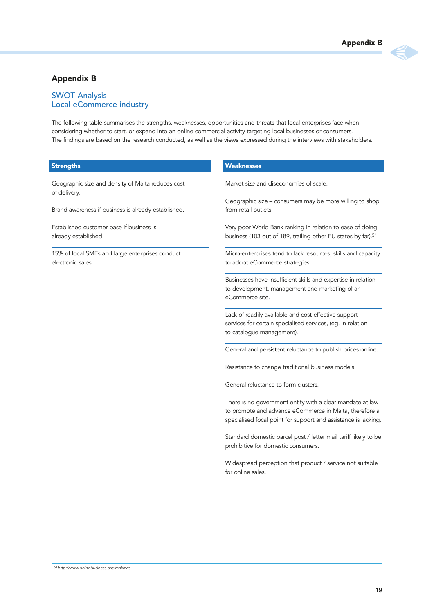#### Appendix B

#### SWOT Analysis Local eCommerce industry

The following table summarises the strengths, weaknesses, opportunities and threats that local enterprises face when considering whether to start, or expand into an online commercial activity targeting local businesses or consumers. The findings are based on the research conducted, as well as the views expressed during the interviews with stakeholders.

#### **Strengths**

Geographic size and density of Malta reduces cost of delivery.

Brand awareness if business is already established.

Established customer base if business is already established.

15% of local SMEs and large enterprises conduct electronic sales.

#### Weaknesses

Market size and diseconomies of scale.

Geographic size – consumers may be more willing to shop from retail outlets.

Very poor World Bank ranking in relation to ease of doing business (103 out of 189, trailing other EU states by far).<sup>51</sup>

Micro-enterprises tend to lack resources, skills and capacity to adopt eCommerce strategies.

Businesses have insufficient skills and expertise in relation to development, management and marketing of an eCommerce site.

Lack of readily available and cost-effective support services for certain specialised services, (eg. in relation to catalogue management).

General and persistent reluctance to publish prices online.

Resistance to change traditional business models.

General reluctance to form clusters.

There is no government entity with a clear mandate at law to promote and advance eCommerce in Malta, therefore a specialised focal point for support and assistance is lacking.

Standard domestic parcel post / letter mail tariff likely to be prohibitive for domestic consumers.

Widespread perception that product / service not suitable for online sales.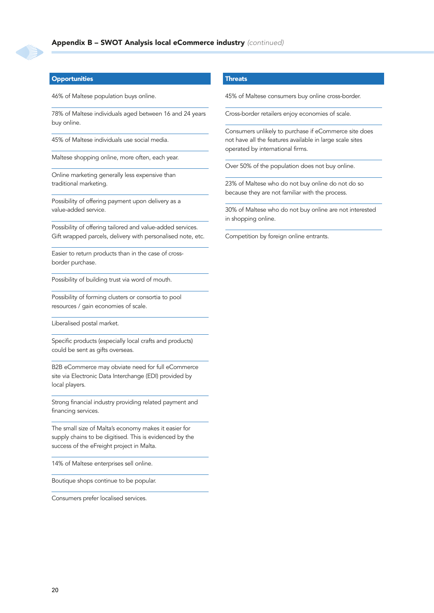#### **Opportunities**

46% of Maltese population buys online.

78% of Maltese individuals aged between 16 and 24 years buy online.

45% of Maltese individuals use social media.

Maltese shopping online, more often, each year.

Online marketing generally less expensive than traditional marketing.

Possibility of offering payment upon delivery as a value-added service.

Possibility of offering tailored and value-added services. Gift wrapped parcels, delivery with personalised note, etc.

Easier to return products than in the case of crossborder purchase.

Possibility of building trust via word of mouth.

Possibility of forming clusters or consortia to pool resources / gain economies of scale.

Liberalised postal market.

Specific products (especially local crafts and products) could be sent as gifts overseas.

B2B eCommerce may obviate need for full eCommerce site via Electronic Data Interchange (EDI) provided by local players.

Strong financial industry providing related payment and financing services.

The small size of Malta's economy makes it easier for supply chains to be digitised. This is evidenced by the success of the eFreight project in Malta.

14% of Maltese enterprises sell online.

Boutique shops continue to be popular.

Consumers prefer localised services.

#### **Threats**

45% of Maltese consumers buy online cross-border.

Cross-border retailers enjoy economies of scale.

Consumers unlikely to purchase if eCommerce site does not have all the features available in large scale sites operated by international firms.

Over 50% of the population does not buy online.

23% of Maltese who do not buy online do not do so because they are not familiar with the process.

30% of Maltese who do not buy online are not interested in shopping online.

Competition by foreign online entrants.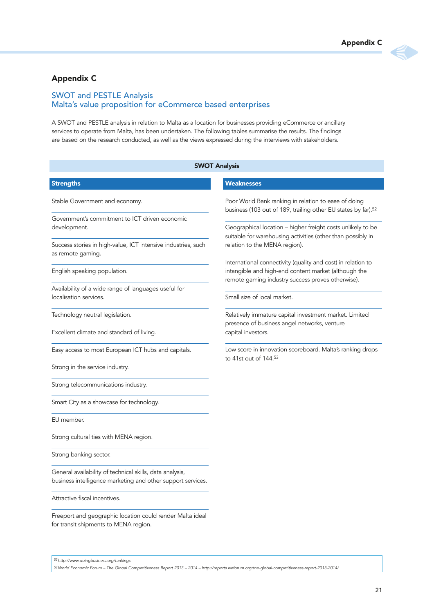## 4

### Appendix C

#### SWOT and PESTLE Analysis Malta's value proposition for eCommerce based enterprises

A SWOT and PESTLE analysis in relation to Malta as a location for businesses providing eCommerce or ancillary services to operate from Malta, has been undertaken. The following tables summarise the results. The findings are based on the research conducted, as well as the views expressed during the interviews with stakeholders.

| <b>SWOT Analysis</b>                                                                                                    |                                                                                                                                   |  |
|-------------------------------------------------------------------------------------------------------------------------|-----------------------------------------------------------------------------------------------------------------------------------|--|
| <b>Strengths</b>                                                                                                        | <b>Weaknesses</b>                                                                                                                 |  |
| Stable Government and economy.                                                                                          | Poor World Bank ranking in relation to ease of doing<br>business (103 out of 189, trailing other EU states by far). <sup>52</sup> |  |
| Government's commitment to ICT driven economic<br>development.                                                          | Geographical location - higher freight costs unlikely to be<br>suitable for warehousing activities (other than possibly in        |  |
| Success stories in high-value, ICT intensive industries, such<br>as remote gaming.                                      | relation to the MENA region).<br>International connectivity (quality and cost) in relation to                                     |  |
| English speaking population.                                                                                            | intangible and high-end content market (although the<br>remote gaming industry success proves otherwise).                         |  |
| Availability of a wide range of languages useful for<br>localisation services.                                          | Small size of local market.                                                                                                       |  |
| Technology neutral legislation.                                                                                         | Relatively immature capital investment market. Limited<br>presence of business angel networks, venture                            |  |
| Excellent climate and standard of living.                                                                               | capital investors.                                                                                                                |  |
| Easy access to most European ICT hubs and capitals.                                                                     | Low score in innovation scoreboard. Malta's ranking drops<br>to 41st out of 144.53                                                |  |
| Strong in the service industry.                                                                                         |                                                                                                                                   |  |
| Strong telecommunications industry.                                                                                     |                                                                                                                                   |  |
| Smart City as a showcase for technology.                                                                                |                                                                                                                                   |  |
| EU member.                                                                                                              |                                                                                                                                   |  |
| Strong cultural ties with MENA region.                                                                                  |                                                                                                                                   |  |
| Strong banking sector.                                                                                                  |                                                                                                                                   |  |
| General availability of technical skills, data analysis,<br>business intelligence marketing and other support services. |                                                                                                                                   |  |
| Attractive fiscal incentives.                                                                                           |                                                                                                                                   |  |
| Freeport and geographic location could render Malta ideal<br>for transit shipments to MENA region.                      |                                                                                                                                   |  |

*52 http://www.doingbusiness.org/rankings* 

*53World Economic Forum – The Global Competitiveness Report 2013 – 2014 – http://reports.weforum.org/the-global-competitiveness-report-2013-2014/*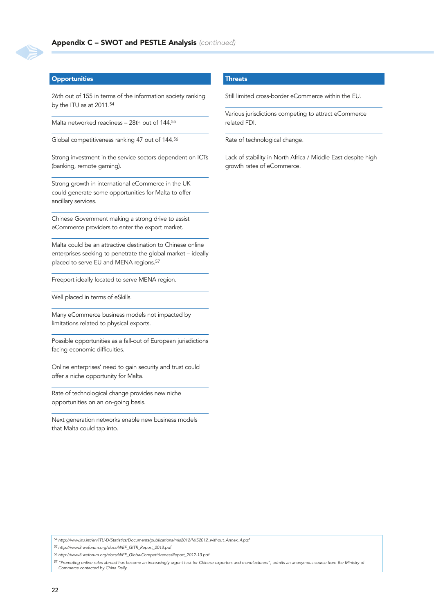#### **Opportunities**

26th out of 155 in terms of the information society ranking by the ITU as at 2011.54

Malta networked readiness – 28th out of 144.55

Global competitiveness ranking 47 out of 144.56

Strong investment in the service sectors dependent on ICTs (banking, remote gaming).

Strong growth in international eCommerce in the UK could generate some opportunities for Malta to offer ancillary services.

Chinese Government making a strong drive to assist eCommerce providers to enter the export market.

Malta could be an attractive destination to Chinese online enterprises seeking to penetrate the global market – ideally placed to serve EU and MENA regions.57

Freeport ideally located to serve MENA region.

Well placed in terms of eSkills.

Many eCommerce business models not impacted by limitations related to physical exports.

Possible opportunities as a fall-out of European jurisdictions facing economic difficulties.

Online enterprises' need to gain security and trust could offer a niche opportunity for Malta.

Rate of technological change provides new niche opportunities on an on-going basis.

Next generation networks enable new business models that Malta could tap into.

#### **Threats**

Still limited cross-border eCommerce within the EU.

Various jurisdictions competing to attract eCommerce related FDI.

Rate of technological change.

Lack of stability in North Africa / Middle East despite high growth rates of eCommerce.

*54 http://www.itu.int/en/ITU-D/Statistics/Documents/publications/mis2012/MIS2012\_without\_Annex\_4.pdf*

*55 http://www3.weforum.org/docs/WEF\_GITR\_Report\_2013.pdf*

*56 http://www3.weforum.org/docs/WEF\_GlobalCompetitivenessReport\_2012-13.pdf*

*57 "Promoting online sales abroad has become an increasingly urgent task for Chinese exporters and manufacturers", admits an anonymous source from the Ministry of Commerce contacted by China Daily.*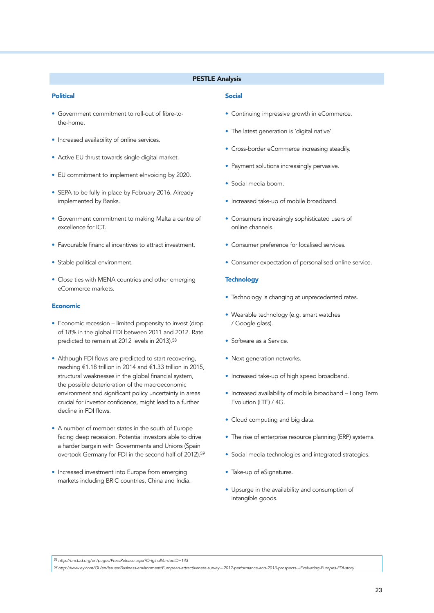#### PESTLE Analysis

#### Political

- Government commitment to roll-out of fibre-tothe-home.
- Increased availability of online services.
- Active EU thrust towards single digital market.
- EU commitment to implement eInvoicing by 2020.
- SEPA to be fully in place by February 2016. Already implemented by Banks.
- Government commitment to making Malta a centre of excellence for ICT.
- Favourable financial incentives to attract investment.
- Stable political environment.
- Close ties with MENA countries and other emerging eCommerce markets.

#### Economic

- Economic recession limited propensity to invest (drop of 18% in the global FDI between 2011 and 2012. Rate predicted to remain at 2012 levels in 2013).58
- Although FDI flows are predicted to start recovering, reaching €1.18 trillion in 2014 and €1.33 trillion in 2015, structural weaknesses in the global financial system, the possible deterioration of the macroeconomic environment and significant policy uncertainty in areas crucial for investor confidence, might lead to a further decline in FDI flows.
- A number of member states in the south of Europe facing deep recession. Potential investors able to drive a harder bargain with Governments and Unions (Spain overtook Germany for FDI in the second half of 2012).59
- Increased investment into Europe from emerging markets including BRIC countries, China and India.

#### Social

- Continuing impressive growth in eCommerce.
- The latest generation is 'digital native'.
- Cross-border eCommerce increasing steadily.
- Payment solutions increasingly pervasive.
- Social media boom.
- Increased take-up of mobile broadband.
- Consumers increasingly sophisticated users of online channels.
- Consumer preference for localised services.
- Consumer expectation of personalised online service.

#### **Technology**

- Technology is changing at unprecedented rates.
- Wearable technology (e.g. smart watches / Google glass).
- Software as a Service.
- Next generation networks.
- Increased take-up of high speed broadband.
- Increased availability of mobile broadband Long Term Evolution (LTE) / 4G.
- Cloud computing and big data.
- The rise of enterprise resource planning (ERP) systems.
- Social media technologies and integrated strategies.
- Take-up of eSignatures.
- Upsurge in the availability and consumption of intangible goods.

*58 http://unctad.org/en/pages/PressRelease.aspx?OriginalVersionID=143 59 http://www.ey.com/GL/en/Issues/Business-environment/European-attractiveness-survey---2012-performance-and-2013-prospects---Evaluating-Europes-FDI-story*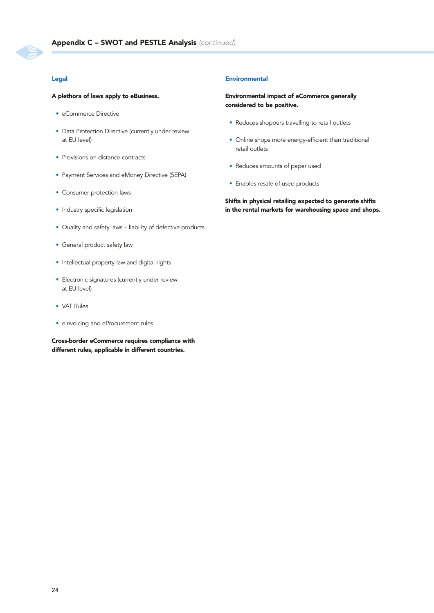#### Legal

#### A plethora of laws apply to eBusiness.

- eCommerce Directive
- Data Protection Directive (currently under review at EU level)
- Provisions on distance contracts
- Payment Services and eMoney Directive (SEPA)
- Consumer protection laws
- Industry specific legislation
- Quality and safety laws liability of defective products
- General product safety law
- Intellectual property law and digital rights
- Electronic signatures (currently under review at EU level)
- VAT Rules
- eInvoicing and eProcurement rules

Cross-border eCommerce requires compliance with different rules, applicable in different countries.

#### Environmental

#### Environmental impact of eCommerce generally considered to be positive.

- Reduces shoppers travelling to retail outlets
- Online shops more energy-efficient than traditional retail outlets
- Reduces amounts of paper used
- Enables resale of used products

Shifts in physical retailing expected to generate shifts in the rental markets for warehousing space and shops.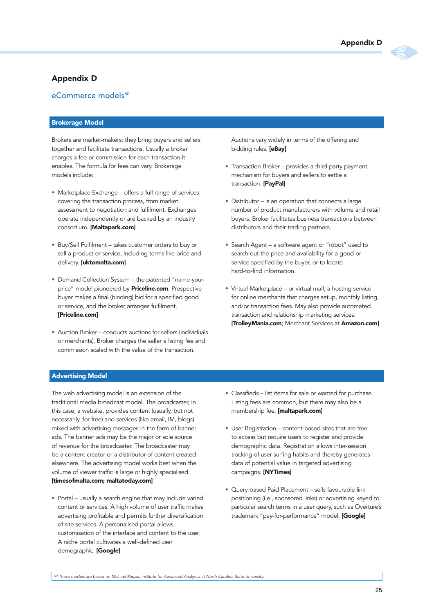### Appendix D

#### eCommerce models<sup>60</sup>

#### Brokerage Model

Brokers are market-makers: they bring buyers and sellers together and facilitate transactions. Usually a broker charges a fee or commission for each transaction it enables. The formula for fees can vary. Brokerage models include:

- Marketplace Exchange offers a full range of services covering the transaction process, from market assessment to negotiation and fulfilment. Exchanges operate independently or are backed by an industry consortium. [Maltapark.com]
- Buy/Sell Fulfilment takes customer orders to buy or sell a product or service, including terms like price and delivery. [uktomalta.com]
- Demand Collection System the patented "name-yourprice" model pioneered by Priceline.com. Prospective buyer makes a final (binding) bid for a specified good or service, and the broker arranges fulfilment. [Priceline.com]
- Auction Broker conducts auctions for sellers (individuals or merchants). Broker charges the seller a listing fee and commission scaled with the value of the transaction.

Auctions vary widely in terms of the offering and bidding rules. **[eBay]** 

- Transaction Broker provides a third-party payment mechanism for buyers and sellers to settle a transaction. [PayPal]
- Distributor is an operation that connects a large number of product manufacturers with volume and retail buyers. Broker facilitates business transactions between distributors and their trading partners.
- Search Agent a software agent or "robot" used to search-out the price and availability for a good or service specified by the buyer, or to locate hard-to-find information.
- Virtual Marketplace or virtual mall, a hosting service for online merchants that charges setup, monthly listing, and/or transaction fees. May also provide automated transaction and relationship marketing services. [TrolleyMania.com; Merchant Services at Amazon.com]

#### Advertising Model

The web advertising model is an extension of the traditional media broadcast model. The broadcaster, in this case, a website, provides content (usually, but not necessarily, for free) and services (like email, IM, blogs) mixed with advertising messages in the form of banner ads. The banner ads may be the major or sole source of revenue for the broadcaster. The broadcaster may be a content creator or a distributor of content created elsewhere. The advertising model works best when the volume of viewer traffic is large or highly specialised. [timesofmalta.com; maltatoday.com]

• Portal – usually a search engine that may include varied content or services. A high volume of user traffic makes advertising profitable and permits further diversification of site services. A personalised portal allows customisation of the interface and content to the user. A niche portal cultivates a well-defined user demographic. [Google]

- Classifieds list items for sale or wanted for purchase. Listing fees are common, but there may also be a membership fee. [maltapark.com]
- User Registration content-based sites that are free to access but require users to register and provide demographic data. Registration allows inter-session tracking of user surfing habits and thereby generates data of potential value in targeted advertising campaigns. [NYTimes]
- Query-based Paid Placement sells favourable link positioning (i.e., sponsored links) or advertising keyed to particular search terms in a user query, such as Overture's trademark "pay-for-performance" model. [Google]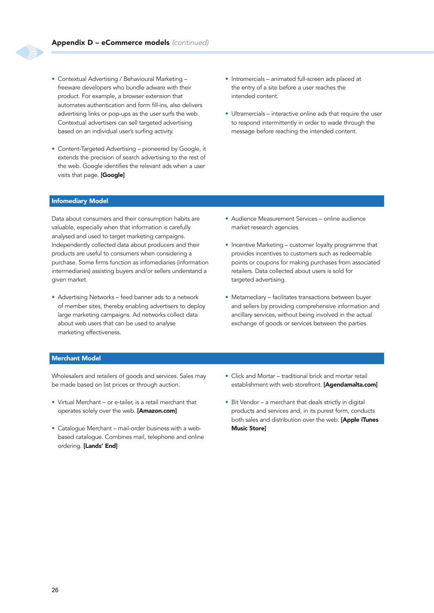- Contextual Advertising / Behavioural Marketing freeware developers who bundle adware with their product. For example, a browser extension that automates authentication and form fill-ins, also delivers advertising links or pop-ups as the user surfs the web. Contextual advertisers can sell targeted advertising based on an individual user's surfing activity.
- Content-Targeted Advertising pioneered by Google, it extends the precision of search advertising to the rest of the web. Google identifies the relevant ads when a user visits that page. [Google]
- Intromercials animated full-screen ads placed at the entry of a site before a user reaches the intended content.
- Ultramercials interactive online ads that require the user to respond intermittently in order to wade through the message before reaching the intended content.

#### Infomediary Model

Data about consumers and their consumption habits are valuable, especially when that information is carefully analysed and used to target marketing campaigns. Independently collected data about producers and their products are useful to consumers when considering a purchase. Some firms function as infomediaries (information intermediaries) assisting buyers and/or sellers understand a given market.

• Advertising Networks – feed banner ads to a network of member sites, thereby enabling advertisers to deploy large marketing campaigns. Ad networks collect data about web users that can be used to analyse marketing effectiveness.

- Audience Measurement Services online audience market research agencies.
- Incentive Marketing customer loyalty programme that provides incentives to customers such as redeemable points or coupons for making purchases from associated retailers. Data collected about users is sold for targeted advertising.
- Metamediary facilitates transactions between buyer and sellers by providing comprehensive information and ancillary services, without being involved in the actual exchange of goods or services between the parties.

#### Merchant Model

Wholesalers and retailers of goods and services. Sales may be made based on list prices or through auction.

- Virtual Merchant or e-tailer, is a retail merchant that operates solely over the web. [Amazon.com]
- Catalogue Merchant mail-order business with a webbased catalogue. Combines mail, telephone and online ordering. [Lands' End]
- Click and Mortar traditional brick and mortar retail establishment with web storefront. [Agendamalta.com]
- Bit Vendor a merchant that deals strictly in digital products and services and, in its purest form, conducts both sales and distribution over the web. [Apple iTunes Music Store]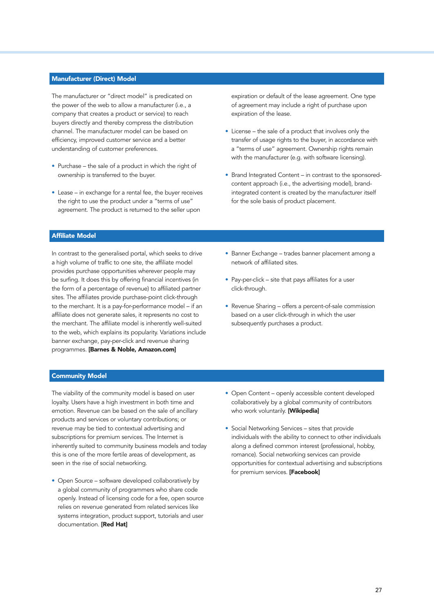#### Manufacturer (Direct) Model

The manufacturer or "direct model" is predicated on the power of the web to allow a manufacturer (i.e., a company that creates a product or service) to reach buyers directly and thereby compress the distribution channel. The manufacturer model can be based on efficiency, improved customer service and a better understanding of customer preferences.

- Purchase the sale of a product in which the right of ownership is transferred to the buyer.
- Lease in exchange for a rental fee, the buyer receives the right to use the product under a "terms of use" agreement. The product is returned to the seller upon

#### expiration or default of the lease agreement. One type of agreement may include a right of purchase upon expiration of the lease.

- License the sale of a product that involves only the transfer of usage rights to the buyer, in accordance with a "terms of use" agreement. Ownership rights remain with the manufacturer (e.g. with software licensing).
- Brand Integrated Content in contrast to the sponsoredcontent approach (i.e., the advertising model), brandintegrated content is created by the manufacturer itself for the sole basis of product placement.

#### Affiliate Model

In contrast to the generalised portal, which seeks to drive a high volume of traffic to one site, the affiliate model provides purchase opportunities wherever people may be surfing. It does this by offering financial incentives (in the form of a percentage of revenue) to affiliated partner sites. The affiliates provide purchase-point click-through to the merchant. It is a pay-for-performance model – if an affiliate does not generate sales, it represents no cost to the merchant. The affiliate model is inherently well-suited to the web, which explains its popularity. Variations include banner exchange, pay-per-click and revenue sharing programmes. [Barnes & Noble, Amazon.com]

- Banner Exchange trades banner placement among a network of affiliated sites.
- Pay-per-click site that pays affiliates for a user click-through.
- Revenue Sharing offers a percent-of-sale commission based on a user click-through in which the user subsequently purchases a product.

#### Community Model

The viability of the community model is based on user loyalty. Users have a high investment in both time and emotion. Revenue can be based on the sale of ancillary products and services or voluntary contributions; or revenue may be tied to contextual advertising and subscriptions for premium services. The Internet is inherently suited to community business models and today this is one of the more fertile areas of development, as seen in the rise of social networking.

• Open Source – software developed collaboratively by a global community of programmers who share code openly. Instead of licensing code for a fee, open source relies on revenue generated from related services like systems integration, product support, tutorials and user documentation. [Red Hat]

- Open Content openly accessible content developed collaboratively by a global community of contributors who work voluntarily. [Wikipedia]
- Social Networking Services sites that provide individuals with the ability to connect to other individuals along a defined common interest (professional, hobby, romance). Social networking services can provide opportunities for contextual advertising and subscriptions for premium services. [Facebook]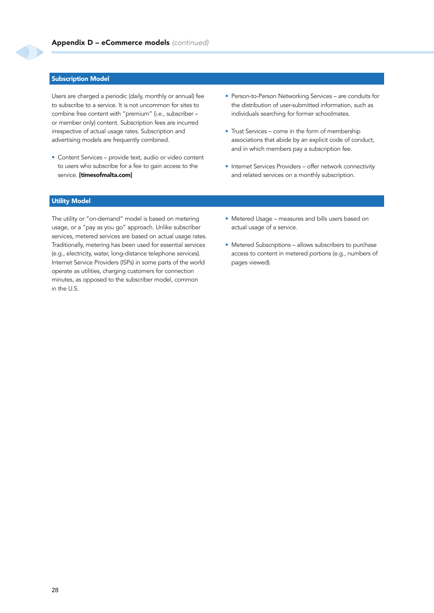#### Subscription Model

Users are charged a periodic (daily, monthly or annual) fee to subscribe to a service. It is not uncommon for sites to combine free content with "premium" (i.e., subscriber – or member only) content. Subscription fees are incurred irrespective of actual usage rates. Subscription and advertising models are frequently combined.

- Content Services provide text, audio or video content to users who subscribe for a fee to gain access to the service. [timesofmalta.com]
- Person-to-Person Networking Services are conduits for the distribution of user-submitted information, such as individuals searching for former schoolmates.
- Trust Services come in the form of membership associations that abide by an explicit code of conduct, and in which members pay a subscription fee.
- Internet Services Providers offer network connectivity and related services on a monthly subscription.

#### Utility Model

The utility or "on-demand" model is based on metering usage, or a "pay as you go" approach. Unlike subscriber services, metered services are based on actual usage rates. Traditionally, metering has been used for essential services (e.g., electricity, water, long-distance telephone services). Internet Service Providers (ISPs) in some parts of the world operate as utilities, charging customers for connection minutes, as opposed to the subscriber model, common in the U.S.

- Metered Usage measures and bills users based on actual usage of a service.
- Metered Subscriptions allows subscribers to purchase access to content in metered portions (e.g., numbers of pages viewed).